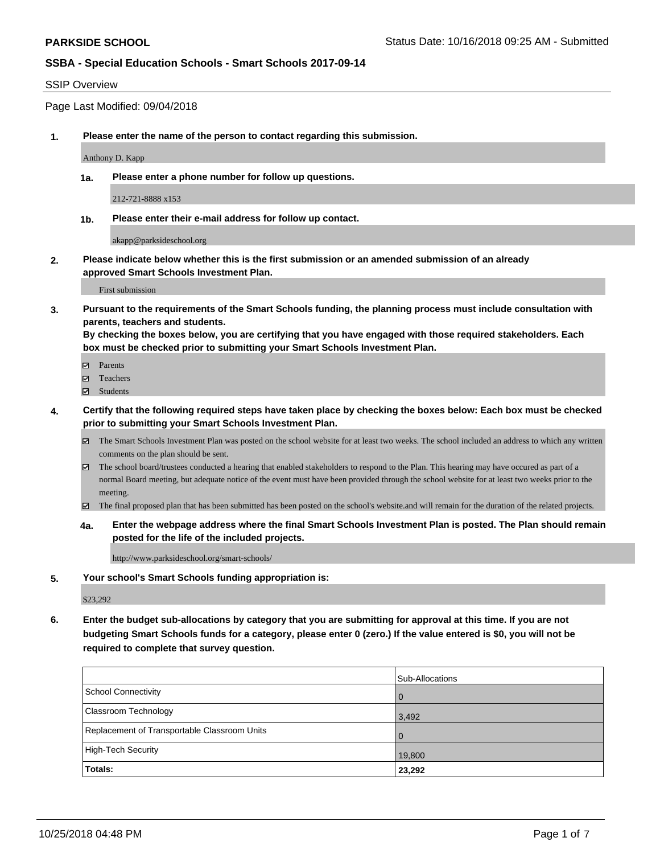#### SSIP Overview

Page Last Modified: 09/04/2018

**1. Please enter the name of the person to contact regarding this submission.**

Anthony D. Kapp

**1a. Please enter a phone number for follow up questions.**

212-721-8888 x153

**1b. Please enter their e-mail address for follow up contact.**

akapp@parksideschool.org

**2. Please indicate below whether this is the first submission or an amended submission of an already approved Smart Schools Investment Plan.**

First submission

**3. Pursuant to the requirements of the Smart Schools funding, the planning process must include consultation with parents, teachers and students.**

**By checking the boxes below, you are certifying that you have engaged with those required stakeholders. Each box must be checked prior to submitting your Smart Schools Investment Plan.**

- $\blacksquare$  Parents
- Teachers
- Students
- **4. Certify that the following required steps have taken place by checking the boxes below: Each box must be checked prior to submitting your Smart Schools Investment Plan.**
	- $\boxtimes$  The Smart Schools Investment Plan was posted on the school website for at least two weeks. The school included an address to which any written comments on the plan should be sent.
	- $\boxtimes$  The school board/trustees conducted a hearing that enabled stakeholders to respond to the Plan. This hearing may have occured as part of a normal Board meeting, but adequate notice of the event must have been provided through the school website for at least two weeks prior to the meeting.
	- The final proposed plan that has been submitted has been posted on the school's website.and will remain for the duration of the related projects.
	- **4a. Enter the webpage address where the final Smart Schools Investment Plan is posted. The Plan should remain posted for the life of the included projects.**

http://www.parksideschool.org/smart-schools/

**5. Your school's Smart Schools funding appropriation is:**

\$23,292

**6. Enter the budget sub-allocations by category that you are submitting for approval at this time. If you are not budgeting Smart Schools funds for a category, please enter 0 (zero.) If the value entered is \$0, you will not be required to complete that survey question.**

|                                              | Sub-Allocations |
|----------------------------------------------|-----------------|
| School Connectivity                          |                 |
| <b>Classroom Technology</b>                  | 3,492           |
| Replacement of Transportable Classroom Units |                 |
| High-Tech Security                           | 19,800          |
| Totals:                                      | 23,292          |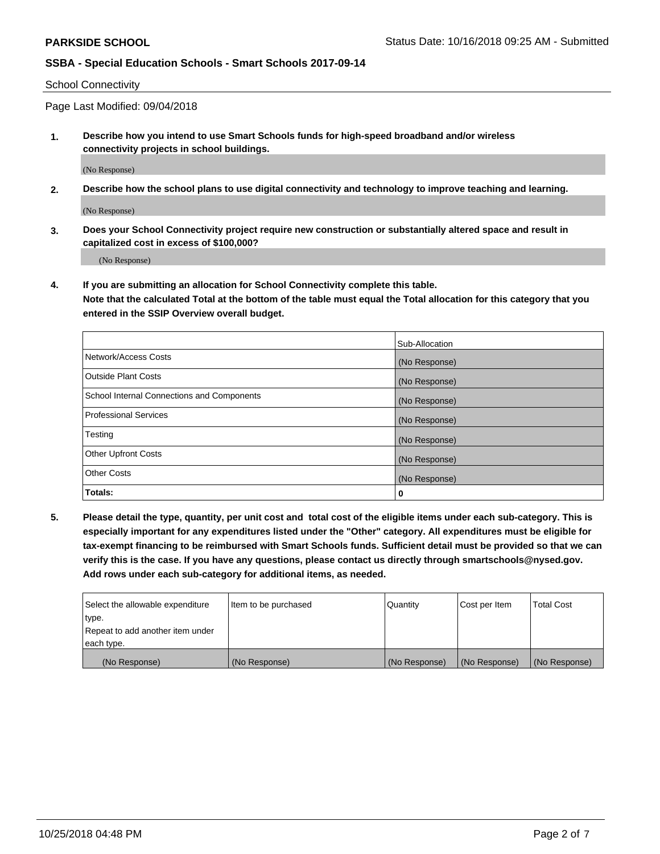School Connectivity

Page Last Modified: 09/04/2018

**1. Describe how you intend to use Smart Schools funds for high-speed broadband and/or wireless connectivity projects in school buildings.**

(No Response)

**2. Describe how the school plans to use digital connectivity and technology to improve teaching and learning.**

(No Response)

**3. Does your School Connectivity project require new construction or substantially altered space and result in capitalized cost in excess of \$100,000?**

(No Response)

**4. If you are submitting an allocation for School Connectivity complete this table.**

**Note that the calculated Total at the bottom of the table must equal the Total allocation for this category that you entered in the SSIP Overview overall budget.** 

|                                            | Sub-Allocation |
|--------------------------------------------|----------------|
| Network/Access Costs                       | (No Response)  |
| <b>Outside Plant Costs</b>                 | (No Response)  |
| School Internal Connections and Components | (No Response)  |
| <b>Professional Services</b>               | (No Response)  |
| Testing                                    | (No Response)  |
| <b>Other Upfront Costs</b>                 | (No Response)  |
| <b>Other Costs</b>                         | (No Response)  |
| Totals:                                    | 0              |

**5. Please detail the type, quantity, per unit cost and total cost of the eligible items under each sub-category. This is especially important for any expenditures listed under the "Other" category. All expenditures must be eligible for tax-exempt financing to be reimbursed with Smart Schools funds. Sufficient detail must be provided so that we can verify this is the case. If you have any questions, please contact us directly through smartschools@nysed.gov. Add rows under each sub-category for additional items, as needed.**

| Select the allowable expenditure | Item to be purchased | Quantity      | Cost per Item | <b>Total Cost</b> |
|----------------------------------|----------------------|---------------|---------------|-------------------|
| type.                            |                      |               |               |                   |
| Repeat to add another item under |                      |               |               |                   |
| each type.                       |                      |               |               |                   |
| (No Response)                    | (No Response)        | (No Response) | (No Response) | (No Response)     |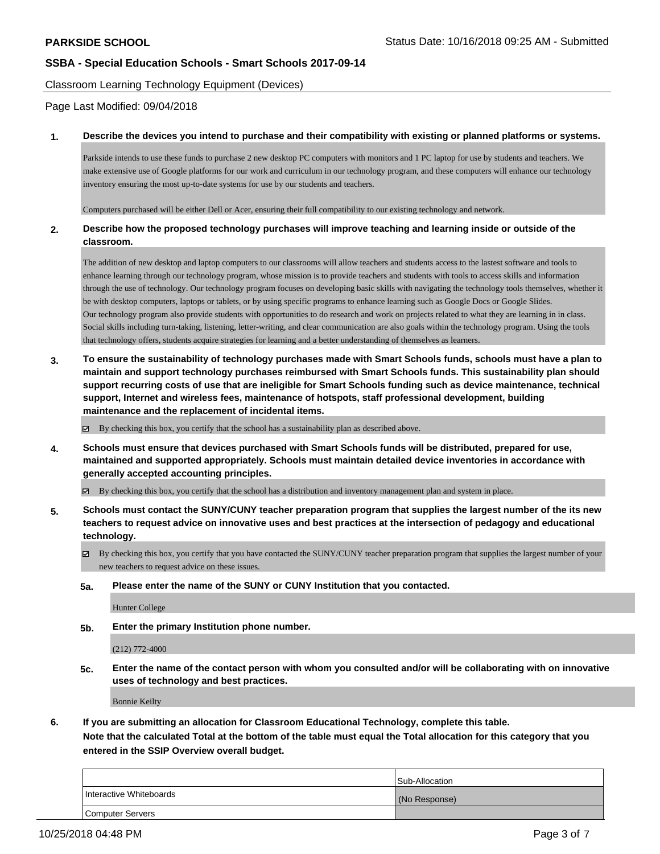Classroom Learning Technology Equipment (Devices)

Page Last Modified: 09/04/2018

#### **1. Describe the devices you intend to purchase and their compatibility with existing or planned platforms or systems.**

Parkside intends to use these funds to purchase 2 new desktop PC computers with monitors and 1 PC laptop for use by students and teachers. We make extensive use of Google platforms for our work and curriculum in our technology program, and these computers will enhance our technology inventory ensuring the most up-to-date systems for use by our students and teachers.

Computers purchased will be either Dell or Acer, ensuring their full compatibility to our existing technology and network.

#### **2. Describe how the proposed technology purchases will improve teaching and learning inside or outside of the classroom.**

The addition of new desktop and laptop computers to our classrooms will allow teachers and students access to the lastest software and tools to enhance learning through our technology program, whose mission is to provide teachers and students with tools to access skills and information through the use of technology. Our technology program focuses on developing basic skills with navigating the technology tools themselves, whether it be with desktop computers, laptops or tablets, or by using specific programs to enhance learning such as Google Docs or Google Slides. Our technology program also provide students with opportunities to do research and work on projects related to what they are learning in in class. Social skills including turn-taking, listening, letter-writing, and clear communication are also goals within the technology program. Using the tools that technology offers, students acquire strategies for learning and a better understanding of themselves as learners.

**3. To ensure the sustainability of technology purchases made with Smart Schools funds, schools must have a plan to maintain and support technology purchases reimbursed with Smart Schools funds. This sustainability plan should support recurring costs of use that are ineligible for Smart Schools funding such as device maintenance, technical support, Internet and wireless fees, maintenance of hotspots, staff professional development, building maintenance and the replacement of incidental items.**

 $\boxtimes$  By checking this box, you certify that the school has a sustainability plan as described above.

**4. Schools must ensure that devices purchased with Smart Schools funds will be distributed, prepared for use, maintained and supported appropriately. Schools must maintain detailed device inventories in accordance with generally accepted accounting principles.**

By checking this box, you certify that the school has a distribution and inventory management plan and system in place.

- **5. Schools must contact the SUNY/CUNY teacher preparation program that supplies the largest number of the its new teachers to request advice on innovative uses and best practices at the intersection of pedagogy and educational technology.**
	- By checking this box, you certify that you have contacted the SUNY/CUNY teacher preparation program that supplies the largest number of your new teachers to request advice on these issues.
	- **5a. Please enter the name of the SUNY or CUNY Institution that you contacted.**

Hunter College

**5b. Enter the primary Institution phone number.**

(212) 772-4000

**5c. Enter the name of the contact person with whom you consulted and/or will be collaborating with on innovative uses of technology and best practices.**

Bonnie Keilty

**6. If you are submitting an allocation for Classroom Educational Technology, complete this table.**

**Note that the calculated Total at the bottom of the table must equal the Total allocation for this category that you entered in the SSIP Overview overall budget.**

|                         | Sub-Allocation |
|-------------------------|----------------|
| Interactive Whiteboards | (No Response)  |
| Computer Servers        |                |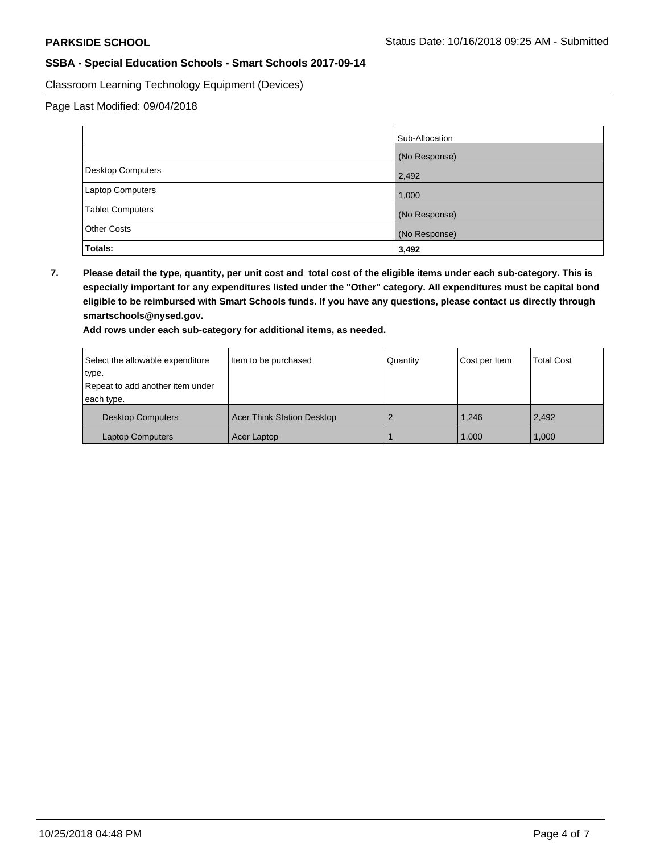Classroom Learning Technology Equipment (Devices)

Page Last Modified: 09/04/2018

|                          | Sub-Allocation |
|--------------------------|----------------|
|                          | (No Response)  |
| <b>Desktop Computers</b> | 2,492          |
| Laptop Computers         | 1,000          |
| <b>Tablet Computers</b>  | (No Response)  |
| <b>Other Costs</b>       | (No Response)  |
| Totals:                  | 3,492          |

**7. Please detail the type, quantity, per unit cost and total cost of the eligible items under each sub-category. This is especially important for any expenditures listed under the "Other" category. All expenditures must be capital bond eligible to be reimbursed with Smart Schools funds. If you have any questions, please contact us directly through smartschools@nysed.gov.**

**Add rows under each sub-category for additional items, as needed.**

| Select the allowable expenditure | Item to be purchased              | Quantity | Cost per Item | <b>Total Cost</b> |
|----------------------------------|-----------------------------------|----------|---------------|-------------------|
| type.                            |                                   |          |               |                   |
| Repeat to add another item under |                                   |          |               |                   |
| each type.                       |                                   |          |               |                   |
| <b>Desktop Computers</b>         | <b>Acer Think Station Desktop</b> |          | 1.246         | 2,492             |
| <b>Laptop Computers</b>          | Acer Laptop                       |          | 1.000         | 1,000             |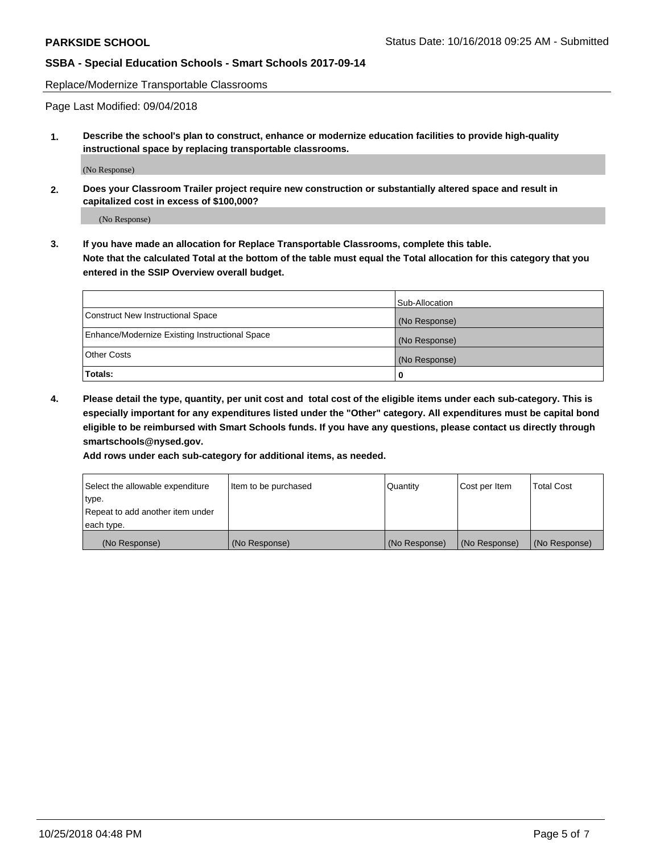Replace/Modernize Transportable Classrooms

Page Last Modified: 09/04/2018

**1. Describe the school's plan to construct, enhance or modernize education facilities to provide high-quality instructional space by replacing transportable classrooms.**

(No Response)

**2. Does your Classroom Trailer project require new construction or substantially altered space and result in capitalized cost in excess of \$100,000?**

(No Response)

**3. If you have made an allocation for Replace Transportable Classrooms, complete this table. Note that the calculated Total at the bottom of the table must equal the Total allocation for this category that you entered in the SSIP Overview overall budget.**

|                                                | Sub-Allocation |
|------------------------------------------------|----------------|
| Construct New Instructional Space              | (No Response)  |
| Enhance/Modernize Existing Instructional Space | (No Response)  |
| Other Costs                                    | (No Response)  |
| Totals:                                        | 0              |

**4. Please detail the type, quantity, per unit cost and total cost of the eligible items under each sub-category. This is especially important for any expenditures listed under the "Other" category. All expenditures must be capital bond eligible to be reimbursed with Smart Schools funds. If you have any questions, please contact us directly through smartschools@nysed.gov.**

**Add rows under each sub-category for additional items, as needed.**

| Select the allowable expenditure | Item to be purchased | Quantity      | Cost per Item | Total Cost    |
|----------------------------------|----------------------|---------------|---------------|---------------|
| type.                            |                      |               |               |               |
| Repeat to add another item under |                      |               |               |               |
| each type.                       |                      |               |               |               |
| (No Response)                    | (No Response)        | (No Response) | (No Response) | (No Response) |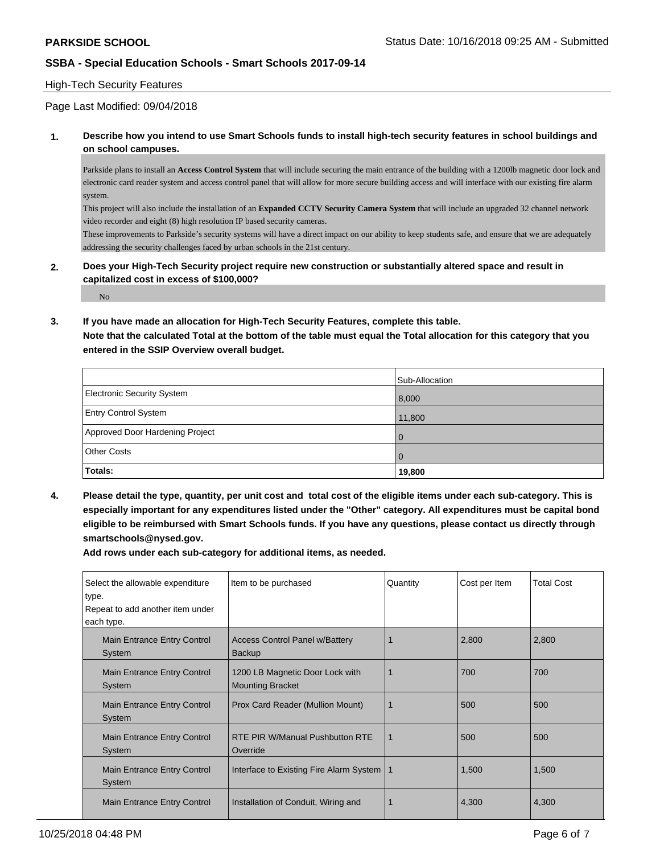#### High-Tech Security Features

#### Page Last Modified: 09/04/2018

**1. Describe how you intend to use Smart Schools funds to install high-tech security features in school buildings and on school campuses.**

Parkside plans to install an **Access Control System** that will include securing the main entrance of the building with a 1200lb magnetic door lock and electronic card reader system and access control panel that will allow for more secure building access and will interface with our existing fire alarm system.

This project will also include the installation of an **Expanded CCTV Security Camera System** that will include an upgraded 32 channel network video recorder and eight (8) high resolution IP based security cameras.

These improvements to Parkside's security systems will have a direct impact on our ability to keep students safe, and ensure that we are adequately addressing the security challenges faced by urban schools in the 21st century.

**2. Does your High-Tech Security project require new construction or substantially altered space and result in capitalized cost in excess of \$100,000?**

No

**3. If you have made an allocation for High-Tech Security Features, complete this table.**

**Note that the calculated Total at the bottom of the table must equal the Total allocation for this category that you entered in the SSIP Overview overall budget.**

|                                   | Sub-Allocation |
|-----------------------------------|----------------|
| <b>Electronic Security System</b> | 8,000          |
| <b>Entry Control System</b>       | 11,800         |
| Approved Door Hardening Project   |                |
| <b>Other Costs</b>                |                |
| Totals:                           | 19,800         |

**4. Please detail the type, quantity, per unit cost and total cost of the eligible items under each sub-category. This is especially important for any expenditures listed under the "Other" category. All expenditures must be capital bond eligible to be reimbursed with Smart Schools funds. If you have any questions, please contact us directly through smartschools@nysed.gov.**

**Add rows under each sub-category for additional items, as needed.**

| Select the allowable expenditure<br>type.      | Item to be purchased                                       | Quantity | Cost per Item | <b>Total Cost</b> |
|------------------------------------------------|------------------------------------------------------------|----------|---------------|-------------------|
| Repeat to add another item under<br>each type. |                                                            |          |               |                   |
| Main Entrance Entry Control<br>System          | <b>Access Control Panel w/Battery</b><br><b>Backup</b>     |          | 2,800         | 2,800             |
| Main Entrance Entry Control<br>System          | 1200 LB Magnetic Door Lock with<br><b>Mounting Bracket</b> |          | 700           | 700               |
| Main Entrance Entry Control<br>System          | Prox Card Reader (Mullion Mount)                           |          | 500           | 500               |
| Main Entrance Entry Control<br>System          | RTE PIR W/Manual Pushbutton RTE<br>Override                | 1        | 500           | 500               |
| Main Entrance Entry Control<br>System          | Interface to Existing Fire Alarm System   1                |          | 1,500         | 1,500             |
| Main Entrance Entry Control                    | Installation of Conduit, Wiring and                        |          | 4,300         | 4,300             |